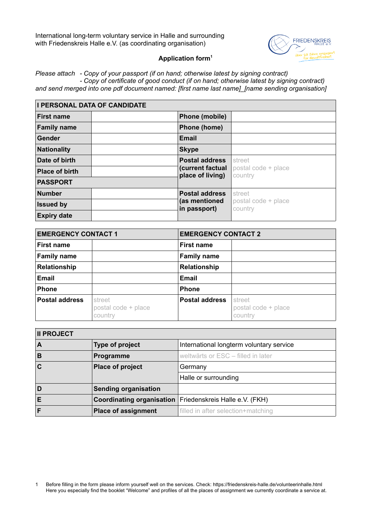International long-term voluntary service in Halle and surrounding with Friedenskreis Halle e.V. (as coordinating organisation)



## **Application form[1](#page-0-0)**

*Please attach - Copy of your passport (if on hand; otherwise latest by signing contract) - Copy of certificate of good conduct (if on hand; otherwise latest by signing contract) and send merged into one pdf document named: [first name last name]\_[name sending organisation]*

| <b>I PERSONAL DATA OF CANDIDATE</b> |              |                                      |                                |  |
|-------------------------------------|--------------|--------------------------------------|--------------------------------|--|
| <b>First name</b>                   |              | Phone (mobile)                       |                                |  |
| <b>Family name</b>                  |              | Phone (home)                         |                                |  |
| Gender                              | Email        |                                      |                                |  |
| <b>Nationality</b>                  | <b>Skype</b> |                                      |                                |  |
| Date of birth                       |              | <b>Postal address</b>                | street                         |  |
| <b>Place of birth</b>               |              | (current factual<br>place of living) | postal code + place<br>country |  |
| <b>PASSPORT</b>                     |              |                                      |                                |  |
| <b>Number</b>                       |              | <b>Postal address</b>                | street                         |  |
| <b>Issued by</b>                    |              | (as mentioned<br>in passport)        | postal code + place<br>country |  |
| <b>Expiry date</b>                  |              |                                      |                                |  |

| <b>EMERGENCY CONTACT 1</b> |                                          |                       | <b>EMERGENCY CONTACT 2</b>               |  |
|----------------------------|------------------------------------------|-----------------------|------------------------------------------|--|
| <b>First name</b>          |                                          | <b>First name</b>     |                                          |  |
| <b>Family name</b>         |                                          | <b>Family name</b>    |                                          |  |
| Relationship               |                                          | Relationship          |                                          |  |
| <b>Email</b>               |                                          | <b>Email</b>          |                                          |  |
| <b>Phone</b>               |                                          | <b>Phone</b>          |                                          |  |
| <b>Postal address</b>      | street<br>postal code + place<br>country | <b>Postal address</b> | street<br>postal code + place<br>country |  |

| <b>II PROJECT</b> |                                  |                                          |  |  |
|-------------------|----------------------------------|------------------------------------------|--|--|
| A                 | Type of project                  | International longterm voluntary service |  |  |
| B                 | Programme                        | weltwärts or ESC - filled in later       |  |  |
| $\mathbf C$       | Place of project                 | Germany                                  |  |  |
|                   |                                  | Halle or surrounding                     |  |  |
| D                 | <b>Sending organisation</b>      |                                          |  |  |
| Е                 | <b>Coordinating organisation</b> | Friedenskreis Halle e.V. (FKH)           |  |  |
|                   | <b>Place of assignment</b>       | filled in after selection+matching       |  |  |

<span id="page-0-0"></span>1 Before filling in the form please inform yourself well on the services. Check: https://friedenskreis-halle.de/volunteerinhalle.html Here you especially find the booklet "Welcome" and profiles of all the places of assignment we currently coordinate a service at.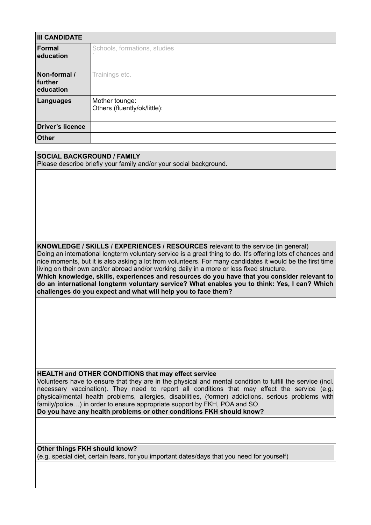| <b>III CANDIDATE</b>                 |                                                |  |
|--------------------------------------|------------------------------------------------|--|
| <b>Formal</b><br>education           | Schools, formations, studies                   |  |
| Non-formal /<br>further<br>education | Trainings etc.                                 |  |
| <b>Languages</b>                     | Mother tounge:<br>Others (fluently/ok/little): |  |
| <b>Driver's licence</b>              |                                                |  |
| <b>Other</b>                         |                                                |  |

**SOCIAL BACKGROUND / FAMILY** Please describe briefly your family and/or your social background.

**KNOWLEDGE / SKILLS / EXPERIENCES / RESOURCES** relevant to the service (in general)

Doing an international longterm voluntary service is a great thing to do. It's offering lots of chances and nice moments, but it is also asking a lot from volunteers. For many candidates it would be the first time living on their own and/or abroad and/or working daily in a more or less fixed structure.

**Which knowledge, skills, experiences and resources do you have that you consider relevant to do an international longterm voluntary service? What enables you to think: Yes, I can? Which challenges do you expect and what will help you to face them?**

**HEALTH and OTHER CONDITIONS that may effect service**

Volunteers have to ensure that they are in the physical and mental condition to fulfill the service (incl. necessary vaccination). They need to report all conditions that may effect the service (e.g. physical/mental health problems, allergies, disabilities, (former) addictions, serious problems with family/police…) in order to ensure appropriate support by FKH, POA and SO. **Do you have any health problems or other conditions FKH should know?**

**Other things FKH should know?** (e.g. special diet, certain fears, for you important dates/days that you need for yourself)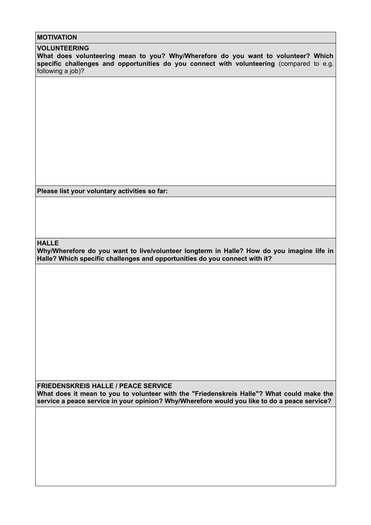## **MOTIVATION**

#### **VOLUNTEERING**

**What does volunteering mean to you? Why/Wherefore do you want to volunteer? Which specific challenges and opportunities do you connect with volunteering** (compared to e.g. following a job)?

**Please list your voluntary activities so far:**

**HALLE**

**Why/Wherefore do you want to live/volunteer longterm in Halle? How do you imagine life in Halle? Which specific challenges and opportunities do you connect with it?**

**FRIEDENSKREIS HALLE / PEACE SERVICE What does it mean to you to volunteer with the "Friedenskreis Halle"? What could make the service a peace service in your opinion? Why/Wherefore would you like to do a peace service?**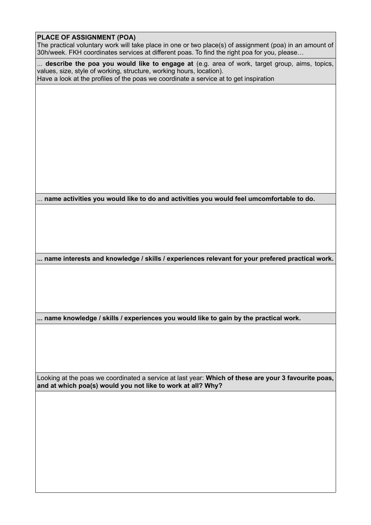## **PLACE OF ASSIGNMENT (POA)**

The practical voluntary work will take place in one or two place(s) of assignment (poa) in an amount of 30h/week. FKH coordinates services at different poas. To find the right poa for you, please…

... **describe the poa you would like to engage at** (e.g. area of work, target group, aims, topics, values, size, style of working, structure, working hours, location). Have a look at the profiles of the poas we coordinate a service at to get inspiration

... **name activities you would like to do and activities you would feel umcomfortable to do.**

**... name interests and knowledge / skills / experiences relevant for your prefered practical work.**

**... name knowledge / skills / experiences you would like to gain by the practical work.**

Looking at the poas we coordinated a service at last year: **Which of these are your 3 favourite poas, and at which poa(s) would you not like to work at all? Why?**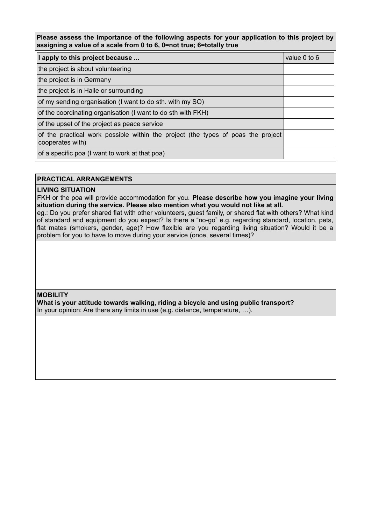**Please assess the importance of the following aspects for your application to this project by assigning a value of a scale from 0 to 6, 0=not true; 6=totally true**

| I apply to this project because                                                                      | value 0 to 6 |
|------------------------------------------------------------------------------------------------------|--------------|
| the project is about volunteering                                                                    |              |
| the project is in Germany                                                                            |              |
| the project is in Halle or surrounding                                                               |              |
| of my sending organisation (I want to do sth. with my SO)                                            |              |
| of the coordinating organisation (I want to do sth with FKH)                                         |              |
| of the upset of the project as peace service                                                         |              |
| of the practical work possible within the project (the types of poas the project<br>cooperates with) |              |
| of a specific poa (I want to work at that poa)                                                       |              |

### **PRACTICAL ARRANGEMENTS**

### **LIVING SITUATION**

FKH or the poa will provide accommodation for you. **Please describe how you imagine your living situation during the service. Please also mention what you would not like at all.** 

eg.: Do you prefer shared flat with other volunteers, guest family, or shared flat with others? What kind of standard and equipment do you expect? Is there a "no-go" e.g. regarding standard, location, pets, flat mates (smokers, gender, age)? How flexible are you regarding living situation? Would it be a problem for you to have to move during your service (once, several times)?

**MOBILITY**

**What is your attitude towards walking, riding a bicycle and using public transport?** In your opinion: Are there any limits in use (e.g. distance, temperature, …).